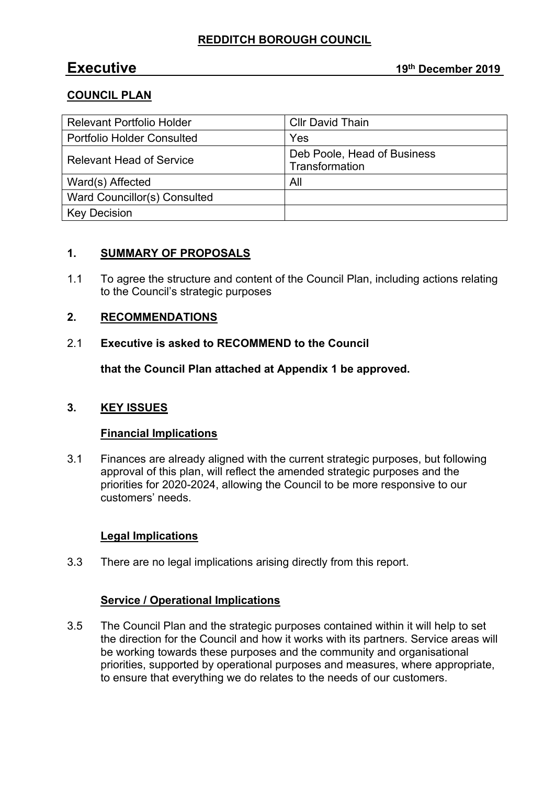# **REDDITCH BOROUGH COUNCIL**

# **COUNCIL PLAN**

| <b>Relevant Portfolio Holder</b>  | <b>Cllr David Thain</b>                       |
|-----------------------------------|-----------------------------------------------|
| <b>Portfolio Holder Consulted</b> | Yes                                           |
| <b>Relevant Head of Service</b>   | Deb Poole, Head of Business<br>Transformation |
| Ward(s) Affected                  | All                                           |
| Ward Councillor(s) Consulted      |                                               |
| <b>Key Decision</b>               |                                               |

# **1. SUMMARY OF PROPOSALS**

1.1 To agree the structure and content of the Council Plan, including actions relating to the Council's strategic purposes

# **2. RECOMMENDATIONS**

#### 2.1 **Executive is asked to RECOMMEND to the Council**

**that the Council Plan attached at Appendix 1 be approved.**

# **3. KEY ISSUES**

#### **Financial Implications**

3.1 Finances are already aligned with the current strategic purposes, but following approval of this plan, will reflect the amended strategic purposes and the priorities for 2020-2024, allowing the Council to be more responsive to our customers' needs.

# **Legal Implications**

3.3 There are no legal implications arising directly from this report.

# **Service / Operational Implications**

3.5 The Council Plan and the strategic purposes contained within it will help to set the direction for the Council and how it works with its partners. Service areas will be working towards these purposes and the community and organisational priorities, supported by operational purposes and measures, where appropriate, to ensure that everything we do relates to the needs of our customers.